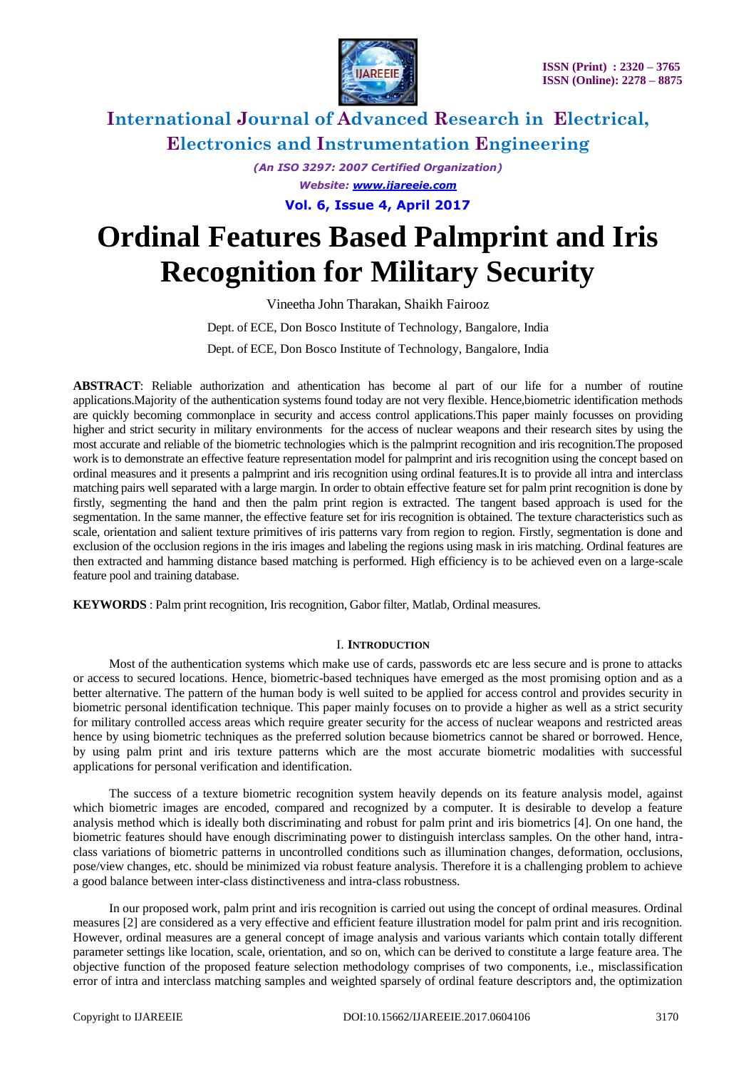

*(An ISO 3297: 2007 Certified Organization) Website: [www.ijareeie.com](http://www.ijareeie.com/)* **Vol. 6, Issue 4, April 2017**

# **Ordinal Features Based Palmprint and Iris Recognition for Military Security**

Vineetha John Tharakan, Shaikh Fairooz

Dept. of ECE, Don Bosco Institute of Technology*,* Bangalore, India Dept. of ECE, Don Bosco Institute of Technology*,* Bangalore, India

**ABSTRACT**: Reliable authorization and athentication has become al part of our life for a number of routine applications.Majority of the authentication systems found today are not very flexible. Hence,biometric identification methods are quickly becoming commonplace in security and access control applications.This paper mainly focusses on providing higher and strict security in military environments for the access of nuclear weapons and their research sites by using the most accurate and reliable of the biometric technologies which is the palmprint recognition and iris recognition.The proposed work is to demonstrate an effective feature representation model for palmprint and iris recognition using the concept based on ordinal measures and it presents a palmprint and iris recognition using ordinal features.It is to provide all intra and interclass matching pairs well separated with a large margin. In order to obtain effective feature set for palm print recognition is done by firstly, segmenting the hand and then the palm print region is extracted. The tangent based approach is used for the segmentation. In the same manner, the effective feature set for iris recognition is obtained. The texture characteristics such as scale, orientation and salient texture primitives of iris patterns vary from region to region. Firstly, segmentation is done and exclusion of the occlusion regions in the iris images and labeling the regions using mask in iris matching. Ordinal features are then extracted and hamming distance based matching is performed. High efficiency is to be achieved even on a large-scale feature pool and training database.

**KEYWORDS** : Palm print recognition, Iris recognition, Gabor filter, Matlab, Ordinal measures.

### I. **INTRODUCTION**

Most of the authentication systems which make use of cards, passwords etc are less secure and is prone to attacks or access to secured locations. Hence, biometric-based techniques have emerged as the most promising option and as a better alternative. The pattern of the human body is well suited to be applied for access control and provides security in biometric personal identification technique. This paper mainly focuses on to provide a higher as well as a strict security for military controlled access areas which require greater security for the access of nuclear weapons and restricted areas hence by using biometric techniques as the preferred solution because biometrics cannot be shared or borrowed. Hence, by using palm print and iris texture patterns which are the most accurate biometric modalities with successful applications for personal verification and identification.

The success of a texture biometric recognition system heavily depends on its feature analysis model, against which biometric images are encoded, compared and recognized by a computer. It is desirable to develop a feature analysis method which is ideally both discriminating and robust for palm print and iris biometrics [4]. On one hand, the biometric features should have enough discriminating power to distinguish interclass samples. On the other hand, intraclass variations of biometric patterns in uncontrolled conditions such as illumination changes, deformation, occlusions, pose/view changes, etc. should be minimized via robust feature analysis. Therefore it is a challenging problem to achieve a good balance between inter-class distinctiveness and intra-class robustness.

In our proposed work, palm print and iris recognition is carried out using the concept of ordinal measures. Ordinal measures [2] are considered as a very effective and efficient feature illustration model for palm print and iris recognition. However, ordinal measures are a general concept of image analysis and various variants which contain totally different parameter settings like location, scale, orientation, and so on, which can be derived to constitute a large feature area. The objective function of the proposed feature selection methodology comprises of two components, i.e., misclassification error of intra and interclass matching samples and weighted sparsely of ordinal feature descriptors and, the optimization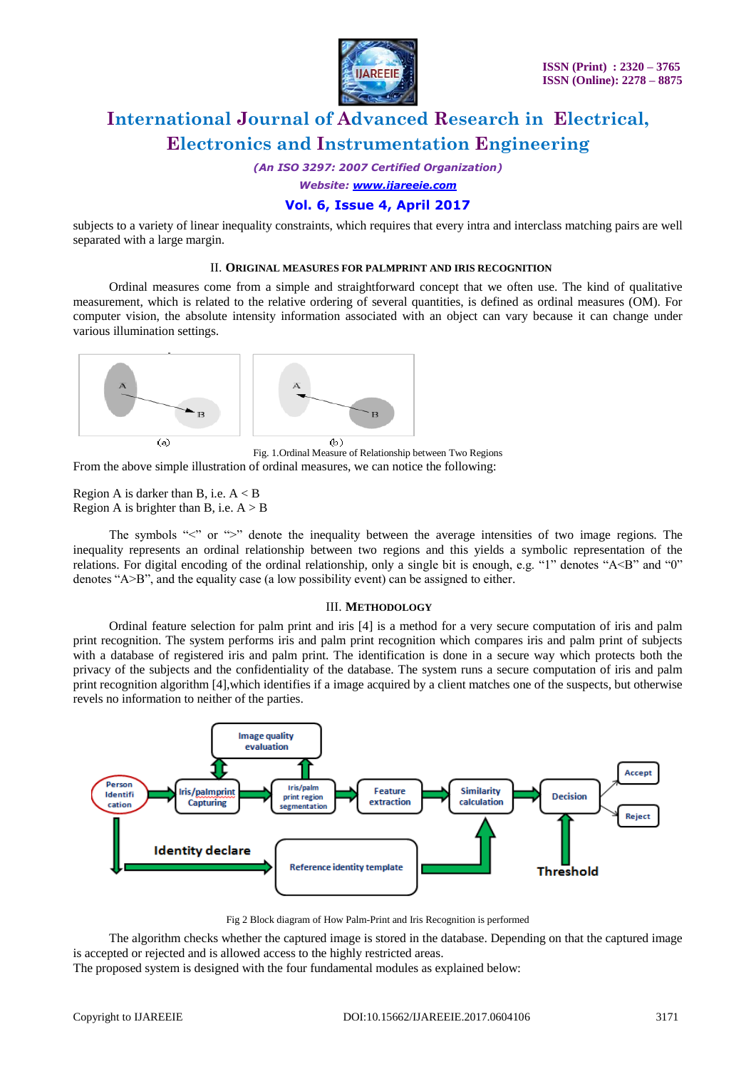

*(An ISO 3297: 2007 Certified Organization)*

*Website: [www.ijareeie.com](http://www.ijareeie.com/)*

### **Vol. 6, Issue 4, April 2017**

subjects to a variety of linear inequality constraints, which requires that every intra and interclass matching pairs are well separated with a large margin.

#### II. **ORIGINAL MEASURES FOR PALMPRINT AND IRIS RECOGNITION**

Ordinal measures come from a simple and straightforward concept that we often use. The kind of qualitative measurement, which is related to the relative ordering of several quantities, is defined as ordinal measures (OM). For computer vision, the absolute intensity information associated with an object can vary because it can change under various illumination settings.



Fig. 1.Ordinal Measure of Relationship between Two Regions From the above simple illustration of ordinal measures, we can notice the following:

Region A is darker than B, i.e.  $A < B$ Region A is brighter than B, i.e.  $A > B$ 

The symbols "<" or ">" denote the inequality between the average intensities of two image regions. The inequality represents an ordinal relationship between two regions and this yields a symbolic representation of the relations. For digital encoding of the ordinal relationship, only a single bit is enough, e.g. "1" denotes "A<B" and "0" denotes " $A>B$ ", and the equality case (a low possibility event) can be assigned to either.

#### III. **METHODOLOGY**

Ordinal feature selection for palm print and iris [4] is a method for a very secure computation of iris and palm print recognition. The system performs iris and palm print recognition which compares iris and palm print of subjects with a database of registered iris and palm print. The identification is done in a secure way which protects both the privacy of the subjects and the confidentiality of the database. The system runs a secure computation of iris and palm print recognition algorithm [4],which identifies if a image acquired by a client matches one of the suspects, but otherwise revels no information to neither of the parties.



Fig 2 Block diagram of How Palm-Print and Iris Recognition is performed

The algorithm checks whether the captured image is stored in the database. Depending on that the captured image is accepted or rejected and is allowed access to the highly restricted areas.

The proposed system is designed with the four fundamental modules as explained below: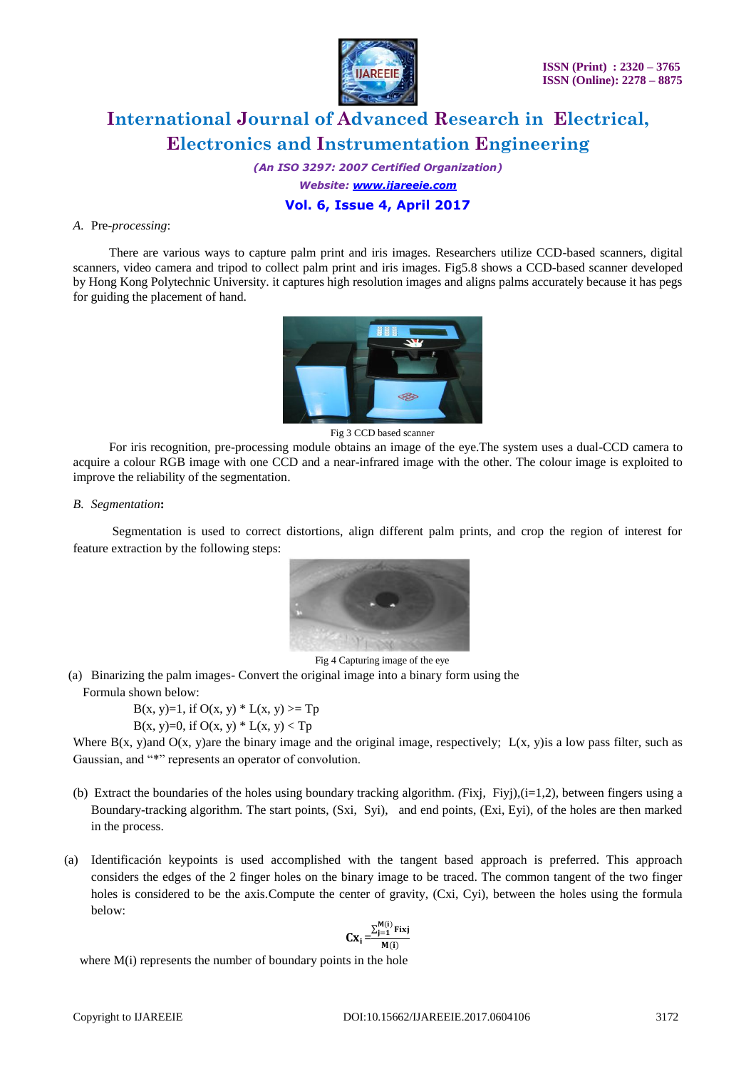

*(An ISO 3297: 2007 Certified Organization) Website: [www.ijareeie.com](http://www.ijareeie.com/)* **Vol. 6, Issue 4, April 2017**

### *A.* Pre-*processing*:

There are various ways to capture palm print and iris images. Researchers utilize CCD-based scanners, digital scanners, video camera and tripod to collect palm print and iris images. Fig5.8 shows a CCD-based scanner developed by Hong Kong Polytechnic University. it captures high resolution images and aligns palms accurately because it has pegs for guiding the placement of hand.



Fig 3 CCD based scanner

For iris recognition, pre-processing module obtains an image of the eye.The system uses a dual-CCD camera to acquire a colour RGB image with one CCD and a near-infrared image with the other. The colour image is exploited to improve the reliability of the segmentation.

### *B. Segmentation***:**

Segmentation is used to correct distortions, align different palm prints, and crop the region of interest for feature extraction by the following steps:



Fig 4 Capturing image of the eye

(a) Binarizing the palm images- Convert the original image into a binary form using the Formula shown below:

 $B(x, y)=1$ , if  $O(x, y) * L(x, y) >= Tp$ 

B(x, y)=0, if  $O(x, y) * L(x, y) < Tp$ 

Where  $B(x, y)$  and  $O(x, y)$  are the binary image and the original image, respectively;  $L(x, y)$  is a low pass filter, such as Gaussian, and "\*" represents an operator of convolution.

- (b) Extract the boundaries of the holes using boundary tracking algorithm. *(*Fixj, Fiyj),(i=1,2), between fingers using a Boundary-tracking algorithm. The start points, (Sxi, Syi), and end points, (Exi, Eyi), of the holes are then marked in the process.
- (a) Identificación keypoints is used accomplished with the tangent based approach is preferred. This approach considers the edges of the 2 finger holes on the binary image to be traced. The common tangent of the two finger holes is considered to be the axis.Compute the center of gravity, (Cxi, Cyi), between the holes using the formula below:

$$
Cx_i = \frac{\sum_{j=1}^{M(i)} \text{Fixj}}{M(i)}
$$

where  $M(i)$  represents the number of boundary points in the hole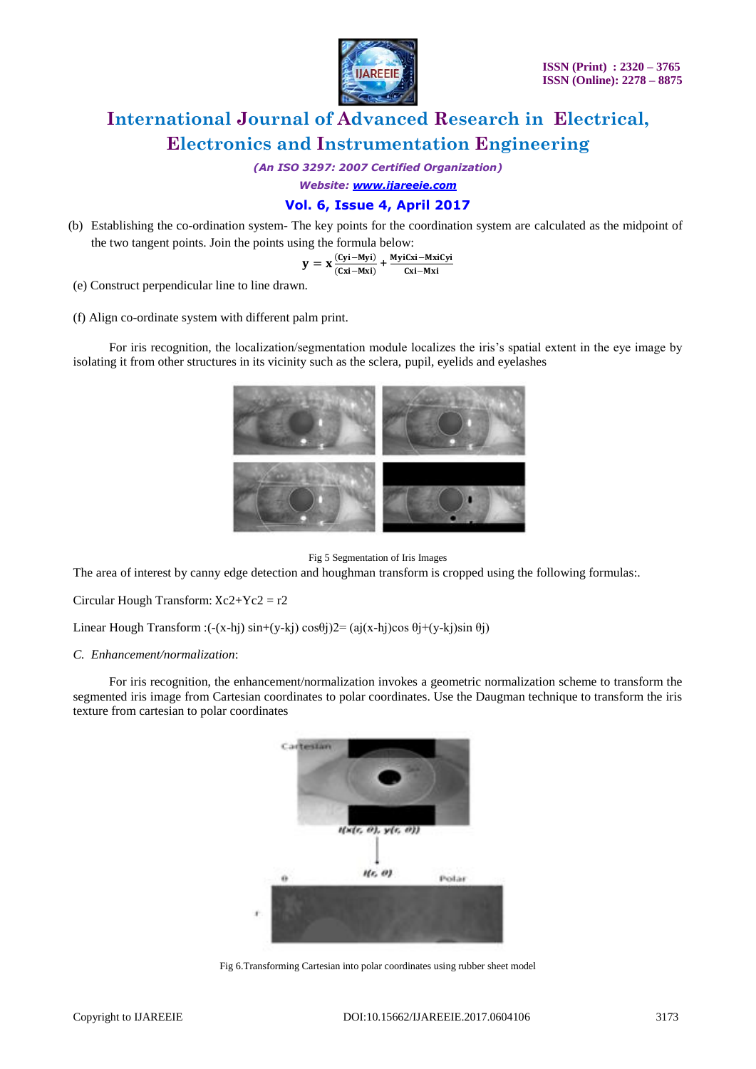

*(An ISO 3297: 2007 Certified Organization)*

*Website: [www.ijareeie.com](http://www.ijareeie.com/)*

### **Vol. 6, Issue 4, April 2017**

(b) Establishing the co-ordination system- The key points for the coordination system are calculated as the midpoint of the two tangent points. Join the points using the formula below:

$$
y = x \frac{(Cyi - Myi)}{(Cxi - Mxi)} + \frac{MyiCxi - MxiCyi}{Cxi - Mxi}
$$

(e) Construct perpendicular line to line drawn.

(f) Align co-ordinate system with different palm print.

For iris recognition, the localization/segmentation module localizes the iris's spatial extent in the eye image by isolating it from other structures in its vicinity such as the sclera, pupil, eyelids and eyelashes



Fig 5 Segmentation of Iris Images

The area of interest by canny edge detection and houghman transform is cropped using the following formulas:.

Circular Hough Transform:  $Xc2+Yc2 = r2$ 

Linear Hough Transform :(-(x-hj) sin+(y-kj) cos $\theta$ j)2= (aj(x-hj)cos  $\theta$ j+(y-kj)sin  $\theta$ j)

#### *C. Enhancement/normalization*:

For iris recognition, the enhancement/normalization invokes a geometric normalization scheme to transform the segmented iris image from Cartesian coordinates to polar coordinates. Use the Daugman technique to transform the iris texture from cartesian to polar coordinates



Fig 6.Transforming Cartesian into polar coordinates using rubber sheet model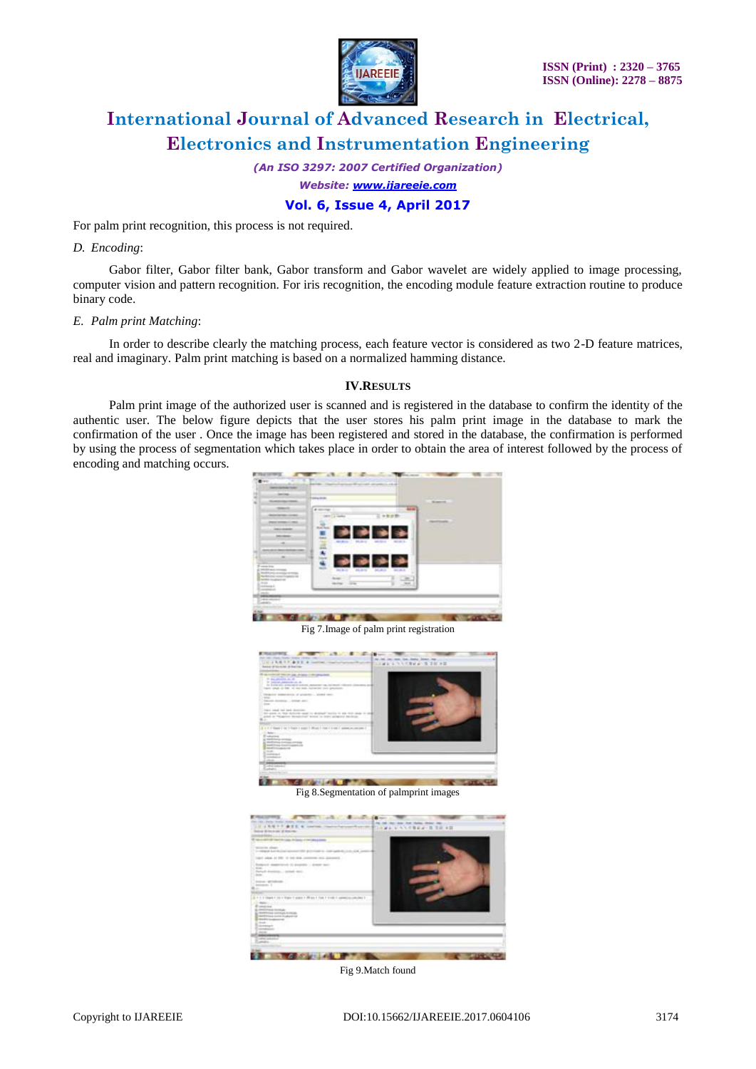

*(An ISO 3297: 2007 Certified Organization)*

*Website: [www.ijareeie.com](http://www.ijareeie.com/)*

**Vol. 6, Issue 4, April 2017**

For palm print recognition, this process is not required.

#### *D. Encoding*:

Gabor filter, Gabor filter bank, Gabor transform and Gabor wavelet are widely applied to image processing, computer vision and pattern recognition. For iris recognition, the encoding module feature extraction routine to produce binary code.

#### *E. Palm print Matching*:

In order to describe clearly the matching process, each feature vector is considered as two 2-D feature matrices, real and imaginary. Palm print matching is based on a normalized hamming distance.

### **IV.RESULTS**

Palm print image of the authorized user is scanned and is registered in the database to confirm the identity of the authentic user. The below figure depicts that the user stores his palm print image in the database to mark the confirmation of the user . Once the image has been registered and stored in the database, the confirmation is performed by using the process of segmentation which takes place in order to obtain the area of interest followed by the process of encoding and matching occurs.



Fig 7.Image of palm print registration



Fig 8.Segmentation of palmprint images



Fig 9.Match found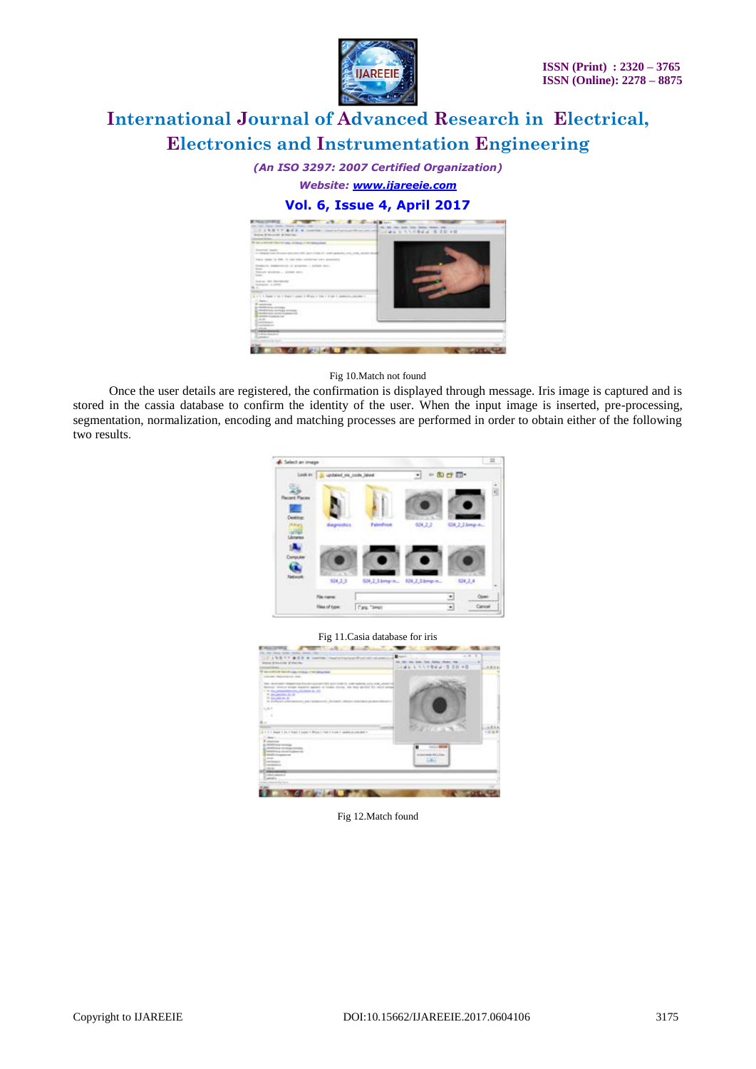

*(An ISO 3297: 2007 Certified Organization)*

*Website: [www.ijareeie.com](http://www.ijareeie.com/)*

### **Vol. 6, Issue 4, April 2017**



Fig 10.Match not found

Once the user details are registered, the confirmation is displayed through message. Iris image is captured and is stored in the cassia database to confirm the identity of the user. When the input image is inserted, pre-processing, segmentation, normalization, encoding and matching processes are performed in order to obtain either of the following two results.



#### Fig 11.Casia database for iris



Fig 12.Match found